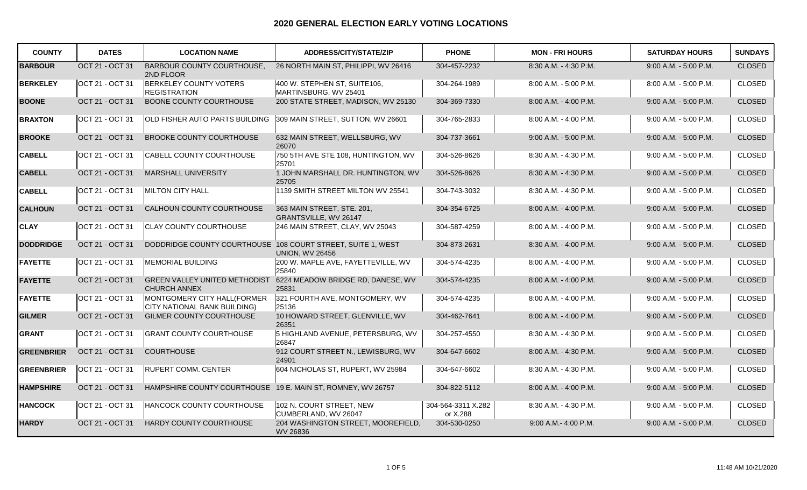| <b>COUNTY</b>     | <b>DATES</b>    | <b>LOCATION NAME</b>                                               | <b>ADDRESS/CITY/STATE/ZIP</b>                         | <b>PHONE</b>                   | <b>MON - FRI HOURS</b>  | <b>SATURDAY HOURS</b>   | <b>SUNDAYS</b> |
|-------------------|-----------------|--------------------------------------------------------------------|-------------------------------------------------------|--------------------------------|-------------------------|-------------------------|----------------|
| <b>BARBOUR</b>    | OCT 21 - OCT 31 | <b>BARBOUR COUNTY COURTHOUSE,</b><br>2ND FLOOR                     | 26 NORTH MAIN ST, PHILIPPI, WV 26416                  | 304-457-2232                   | 8:30 A.M. - 4:30 P.M.   | 9:00 A.M. - 5:00 P.M.   | <b>CLOSED</b>  |
| <b>BERKELEY</b>   | OCT 21 - OCT 31 | <b>BERKELEY COUNTY VOTERS</b><br><b>REGISTRATION</b>               | 400 W. STEPHEN ST, SUITE106,<br>MARTINSBURG, WV 25401 | 304-264-1989                   | 8:00 A.M. - 5:00 P.M.   | 8:00 A.M. - 5:00 P.M.   | <b>CLOSED</b>  |
| <b>BOONE</b>      | OCT 21 - OCT 31 | BOONE COUNTY COURTHOUSE                                            | 200 STATE STREET, MADISON, WV 25130                   | 304-369-7330                   | 8:00 A.M. - 4:00 P.M.   | $9:00$ A.M. - 5:00 P.M. | <b>CLOSED</b>  |
| <b>BRAXTON</b>    | OCT 21 - OCT 31 | OLD FISHER AUTO PARTS BUILDING                                     | 309 MAIN STREET, SUTTON, WV 26601                     | 304-765-2833                   | 8:00 A.M. - 4:00 P.M.   | 9:00 A.M. - 5:00 P.M.   | <b>CLOSED</b>  |
| <b>BROOKE</b>     | OCT 21 - OCT 31 | <b>BROOKE COUNTY COURTHOUSE</b>                                    | 632 MAIN STREET, WELLSBURG, WV<br>26070               | 304-737-3661                   | $9:00$ A.M. - 5:00 P.M. | $9:00$ A.M. - 5:00 P.M. | <b>CLOSED</b>  |
| <b>CABELL</b>     | OCT 21 - OCT 31 | CABELL COUNTY COURTHOUSE                                           | 750 5TH AVE STE 108, HUNTINGTON, WV<br>25701          | 304-526-8626                   | 8:30 A.M. - 4:30 P.M.   | 9:00 A.M. - 5:00 P.M.   | <b>CLOSED</b>  |
| <b>CABELL</b>     | OCT 21 - OCT 31 | MARSHALL UNIVERSITY                                                | 1 JOHN MARSHALL DR. HUNTINGTON, WV<br>25705           | 304-526-8626                   | 8:30 A.M. - 4:30 P.M.   | $9:00$ A.M. - 5:00 P.M. | <b>CLOSED</b>  |
| <b>CABELL</b>     | OCT 21 - OCT 31 | MILTON CITY HALL                                                   | 1139 SMITH STREET MILTON WV 25541                     | 304-743-3032                   | 8:30 A.M. - 4:30 P.M.   | 9:00 A.M. - 5:00 P.M.   | <b>CLOSED</b>  |
| <b>CALHOUN</b>    | OCT 21 - OCT 31 | CALHOUN COUNTY COURTHOUSE                                          | 363 MAIN STREET, STE. 201,<br>GRANTSVILLE, WV 26147   | 304-354-6725                   | 8:00 A.M. - 4:00 P.M.   | $9:00$ A.M. - 5:00 P.M. | <b>CLOSED</b>  |
| <b>CLAY</b>       | OCT 21 - OCT 31 | <b>CLAY COUNTY COURTHOUSE</b>                                      | 246 MAIN STREET, CLAY, WV 25043                       | 304-587-4259                   | 8:00 A.M. - 4:00 P.M.   | 9:00 A.M. - 5:00 P.M.   | <b>CLOSED</b>  |
| <b>DODDRIDGE</b>  | OCT 21 - OCT 31 | DODDRIDGE COUNTY COURTHOUSE 108 COURT STREET, SUITE 1, WEST        | <b>UNION. WV 26456</b>                                | 304-873-2631                   | 8:30 A.M. - 4:00 P.M.   | 9:00 A.M. - 5:00 P.M.   | <b>CLOSED</b>  |
| <b>FAYETTE</b>    | OCT 21 - OCT 31 | MEMORIAL BUILDING                                                  | 200 W. MAPLE AVE, FAYETTEVILLE, WV<br>25840           | 304-574-4235                   | 8:00 A.M. - 4:00 P.M.   | 9:00 A.M. - 5:00 P.M.   | <b>CLOSED</b>  |
| <b>FAYETTE</b>    | OCT 21 - OCT 31 | <b>GREEN VALLEY UNITED METHODIST</b><br><b>CHURCH ANNEX</b>        | 6224 MEADOW BRIDGE RD, DANESE, WV<br>25831            | 304-574-4235                   | 8:00 A.M. - 4:00 P.M.   | $9:00$ A.M. - 5:00 P.M. | <b>CLOSED</b>  |
| <b>FAYETTE</b>    | OCT 21 - OCT 31 | MONTGOMERY CITY HALL(FORMER<br><b>CITY NATIONAL BANK BUILDING)</b> | 321 FOURTH AVE, MONTGOMERY, WV<br>25136               | 304-574-4235                   | 8:00 A.M. - 4:00 P.M.   | 9:00 A.M. - 5:00 P.M.   | <b>CLOSED</b>  |
| <b>GILMER</b>     | OCT 21 - OCT 31 | GILMER COUNTY COURTHOUSE                                           | 10 HOWARD STREET, GLENVILLE, WV<br>26351              | 304-462-7641                   | 8:00 A.M. - 4:00 P.M.   | 9:00 A.M. - 5:00 P.M.   | <b>CLOSED</b>  |
| <b>GRANT</b>      | OCT 21 - OCT 31 | <b>GRANT COUNTY COURTHOUSE</b>                                     | 5 HIGHLAND AVENUE, PETERSBURG, WV<br>26847            | 304-257-4550                   | 8:30 A.M. - 4:30 P.M.   | 9:00 A.M. - 5:00 P.M.   | <b>CLOSED</b>  |
| <b>GREENBRIER</b> | OCT 21 - OCT 31 | <b>COURTHOUSE</b>                                                  | 912 COURT STREET N., LEWISBURG, WV<br>24901           | 304-647-6602                   | 8:00 A.M. - 4:30 P.M.   | $9:00$ A.M. - 5:00 P.M. | <b>CLOSED</b>  |
| <b>GREENBRIER</b> | OCT 21 - OCT 31 | <b>RUPERT COMM. CENTER</b>                                         | 604 NICHOLAS ST, RUPERT, WV 25984                     | 304-647-6602                   | 8:30 A.M. - 4:30 P.M.   | 9:00 A.M. - 5:00 P.M.   | <b>CLOSED</b>  |
| <b>HAMPSHIRE</b>  | OCT 21 - OCT 31 | HAMPSHIRE COUNTY COURTHOUSE 19 E. MAIN ST, ROMNEY, WV 26757        |                                                       | 304-822-5112                   | 8:00 A.M. - 4:00 P.M.   | $9:00$ A.M. - 5:00 P.M. | <b>CLOSED</b>  |
| <b>HANCOCK</b>    | OCT 21 - OCT 31 | HANCOCK COUNTY COURTHOUSE                                          | 102 N. COURT STREET, NEW<br>CUMBERLAND, WV 26047      | 304-564-3311 X.282<br>or X.288 | 8:30 A.M. - 4:30 P.M.   | 9:00 A.M. - 5:00 P.M.   | <b>CLOSED</b>  |
| <b>HARDY</b>      | OCT 21 - OCT 31 | HARDY COUNTY COURTHOUSE                                            | 204 WASHINGTON STREET, MOOREFIELD,<br>WV 26836        | 304-530-0250                   | 9:00 A.M.- 4:00 P.M.    | $9:00$ A.M. - 5:00 P.M. | <b>CLOSED</b>  |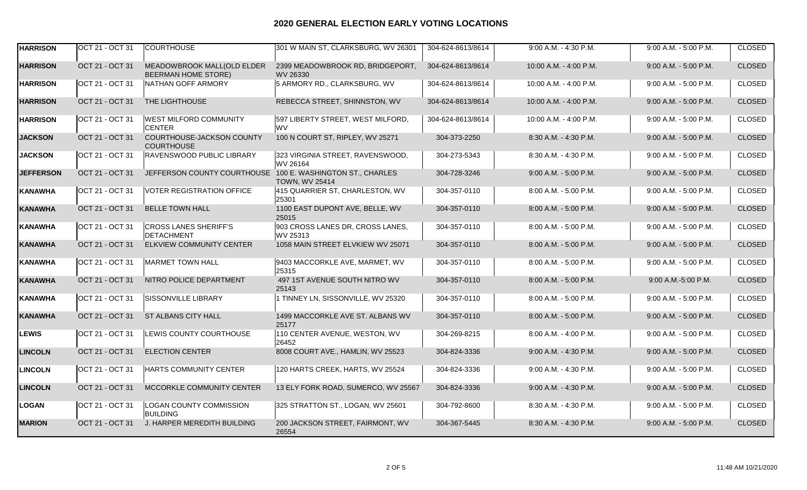| <b>HARRISON</b>  | OCT 21 - OCT 31 | <b>COURTHOUSE</b>                                          | 301 W MAIN ST, CLARKSBURG, WV 26301          | 304-624-8613/8614 | 9:00 A.M. - 4:30 P.M.   | 9:00 A.M. - 5:00 P.M.   | <b>CLOSED</b> |
|------------------|-----------------|------------------------------------------------------------|----------------------------------------------|-------------------|-------------------------|-------------------------|---------------|
| <b>HARRISON</b>  | OCT 21 - OCT 31 | MEADOWBROOK MALL(OLD ELDER<br><b>BEERMAN HOME STORE)</b>   | 2399 MEADOWBROOK RD, BRIDGEPORT,<br>WV 26330 | 304-624-8613/8614 | 10:00 A.M. - 4:00 P.M.  | 9:00 A.M. - 5:00 P.M.   | <b>CLOSED</b> |
| <b>HARRISON</b>  | OCT 21 - OCT 31 | NATHAN GOFF ARMORY                                         | 5 ARMORY RD., CLARKSBURG, WV                 | 304-624-8613/8614 | 10:00 A.M. - 4:00 P.M.  | 9:00 A.M. - 5:00 P.M.   | <b>CLOSED</b> |
| <b>HARRISON</b>  | OCT 21 - OCT 31 | THE LIGHTHOUSE                                             | REBECCA STREET, SHINNSTON, WV                | 304-624-8613/8614 | 10:00 A.M. - 4:00 P.M.  | 9:00 A.M. - 5:00 P.M.   | <b>CLOSED</b> |
| <b>HARRISON</b>  | OCT 21 - OCT 31 | <b>WEST MILFORD COMMUNITY</b><br><b>CENTER</b>             | 597 LIBERTY STREET, WEST MILFORD,<br>lwv     | 304-624-8613/8614 | 10:00 A.M. - 4:00 P.M.  | 9:00 A.M. - 5:00 P.M.   | <b>CLOSED</b> |
| <b>JACKSON</b>   | OCT 21 - OCT 31 | COURTHOUSE-JACKSON COUNTY<br><b>COURTHOUSE</b>             | 100 N COURT ST, RIPLEY, WV 25271             | 304-373-2250      | 8:30 A.M. - 4:30 P.M.   | 9:00 A.M. - 5:00 P.M.   | <b>CLOSED</b> |
| <b>JACKSON</b>   | OCT 21 - OCT 31 | RAVENSWOOD PUBLIC LIBRARY                                  | 323 VIRGINIA STREET, RAVENSWOOD,<br>WV 26164 | 304-273-5343      | 8:30 A.M. - 4:30 P.M.   | 9:00 A.M. - 5:00 P.M.   | <b>CLOSED</b> |
| <b>JEFFERSON</b> | OCT 21 - OCT 31 | JEFFERSON COUNTY COURTHOUSE 100 E. WASHINGTON ST., CHARLES | <b>TOWN, WV 25414</b>                        | 304-728-3246      | $9:00$ A.M. - 5:00 P.M. | 9:00 A.M. - 5:00 P.M.   | <b>CLOSED</b> |
| <b>KANAWHA</b>   | OCT 21 - OCT 31 | <b>VOTER REGISTRATION OFFICE</b>                           | 415 QUARRIER ST, CHARLESTON, WV<br>25301     | 304-357-0110      | 8:00 A.M. - 5:00 P.M.   | $9:00$ A.M. - 5:00 P.M. | <b>CLOSED</b> |
| <b>KANAWHA</b>   | OCT 21 - OCT 31 | <b>BELLE TOWN HALL</b>                                     | 1100 EAST DUPONT AVE, BELLE, WV<br>25015     | 304-357-0110      | 8:00 A.M. - 5:00 P.M.   | $9.00$ A.M. - 5:00 P.M. | <b>CLOSED</b> |
| <b>KANAWHA</b>   | OCT 21 - OCT 31 | <b>CROSS LANES SHERIFF'S</b><br>DETACHMENT                 | 903 CROSS LANES DR, CROSS LANES,<br>WV 25313 | 304-357-0110      | 8:00 A.M. - 5:00 P.M.   | 9:00 A.M. - 5:00 P.M.   | <b>CLOSED</b> |
| <b>KANAWHA</b>   | OCT 21 - OCT 31 | <b>ELKVIEW COMMUNITY CENTER</b>                            | 1058 MAIN STREET ELVKIEW WV 25071            | 304-357-0110      | 8:00 A.M. - 5:00 P.M.   | $9:00$ A.M. - 5:00 P.M. | <b>CLOSED</b> |
| KANAWHA          | OCT 21 - OCT 31 | MARMET TOWN HALL                                           | 9403 MACCORKLE AVE, MARMET, WV<br>25315      | 304-357-0110      | 8:00 A.M. - 5:00 P.M.   | $9:00$ A.M. - 5:00 P.M. | <b>CLOSED</b> |
| <b>KANAWHA</b>   | OCT 21 - OCT 31 | NITRO POLICE DEPARTMENT                                    | 497 1ST AVENUE SOUTH NITRO WV<br>25143       | 304-357-0110      | 8:00 A.M. - 5:00 P.M.   | 9:00 A.M.-5:00 P.M.     | <b>CLOSED</b> |
| <b>KANAWHA</b>   | OCT 21 - OCT 31 | SISSONVILLE LIBRARY                                        | 1 TINNEY LN, SISSONVILLE, WV 25320           | 304-357-0110      | 8:00 A.M. - 5:00 P.M.   | $9:00$ A.M. - 5:00 P.M. | <b>CLOSED</b> |
| <b>KANAWHA</b>   | OCT 21 - OCT 31 | ST ALBANS CITY HALL                                        | 1499 MACCORKLE AVE ST. ALBANS WV<br>25177    | 304-357-0110      | 8:00 A.M. - 5:00 P.M.   | 9:00 A.M. - 5:00 P.M.   | <b>CLOSED</b> |
| <b>LEWIS</b>     | OCT 21 - OCT 31 | LEWIS COUNTY COURTHOUSE                                    | 110 CENTER AVENUE, WESTON, WV<br>26452       | 304-269-8215      | 8:00 A.M. - 4:00 P.M.   | 9:00 A.M. - 5:00 P.M.   | <b>CLOSED</b> |
| <b>LINCOLN</b>   | OCT 21 - OCT 31 | <b>ELECTION CENTER</b>                                     | 8008 COURT AVE., HAMLIN, WV 25523            | 304-824-3336      | 9:00 A.M. - 4:30 P.M.   | 9:00 A.M. - 5:00 P.M.   | <b>CLOSED</b> |
| <b>LINCOLN</b>   | OCT 21 - OCT 31 | HARTS COMMUNITY CENTER                                     | 120 HARTS CREEK, HARTS, WV 25524             | 304-824-3336      | 9:00 A.M. - 4:30 P.M.   | $9:00$ A.M. - 5:00 P.M. | <b>CLOSED</b> |
| <b>LINCOLN</b>   | OCT 21 - OCT 31 | MCCORKLE COMMUNITY CENTER                                  | 13 ELY FORK ROAD, SUMERCO, WV 25567          | 304-824-3336      | 9:00 A.M. - 4:30 P.M.   | 9:00 A.M. - 5:00 P.M.   | <b>CLOSED</b> |
| LOGAN            | OCT 21 - OCT 31 | <b>LOGAN COUNTY COMMISSION</b><br><b>BUILDING</b>          | 325 STRATTON ST., LOGAN, WV 25601            | 304-792-8600      | 8:30 A.M. - 4:30 P.M.   | $9:00$ A.M. - 5:00 P.M. | <b>CLOSED</b> |
| <b>MARION</b>    | OCT 21 - OCT 31 | J. HARPER MEREDITH BUILDING                                | 200 JACKSON STREET, FAIRMONT, WV<br>26554    | 304-367-5445      | 8:30 A.M. - 4:30 P.M.   | 9:00 A.M. - 5:00 P.M.   | <b>CLOSED</b> |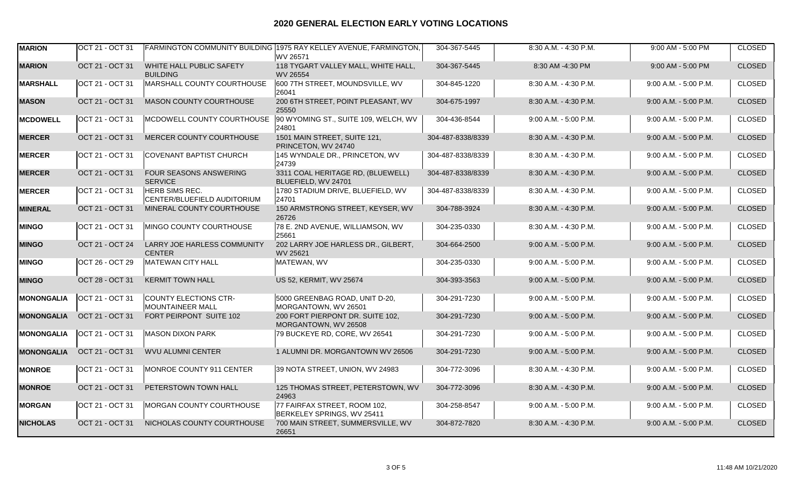| <b>MARION</b>     | OCT 21 - OCT 31 |                                                      | FARMINGTON COMMUNITY BUILDING 1975 RAY KELLEY AVENUE, FARMINGTON,<br>WV 26571 | 304-367-5445      | 8:30 A.M. - 4:30 P.M.   | 9:00 AM - 5:00 PM       | <b>CLOSED</b> |
|-------------------|-----------------|------------------------------------------------------|-------------------------------------------------------------------------------|-------------------|-------------------------|-------------------------|---------------|
| <b>MARION</b>     | OCT 21 - OCT 31 | WHITE HALL PUBLIC SAFETY<br><b>BUILDING</b>          | 118 TYGART VALLEY MALL, WHITE HALL,<br>WV 26554                               | 304-367-5445      | 8:30 AM -4:30 PM        | 9:00 AM - 5:00 PM       | <b>CLOSED</b> |
| <b>MARSHALL</b>   | OCT 21 - OCT 31 | MARSHALL COUNTY COURTHOUSE                           | 600 7TH STREET, MOUNDSVILLE, WV<br>26041                                      | 304-845-1220      | 8:30 A.M. - 4:30 P.M.   | 9:00 A.M. - 5:00 P.M.   | <b>CLOSED</b> |
| <b>MASON</b>      | OCT 21 - OCT 31 | MASON COUNTY COURTHOUSE                              | 200 6TH STREET, POINT PLEASANT, WV<br>25550                                   | 304-675-1997      | 8:30 A.M. - 4:30 P.M.   | 9:00 A.M. - 5:00 P.M.   | <b>CLOSED</b> |
| <b>MCDOWELL</b>   | OCT 21 - OCT 31 | MCDOWELL COUNTY COURTHOUSE                           | 90 WYOMING ST., SUITE 109, WELCH, WV<br>24801                                 | 304-436-8544      | 9:00 A.M. - 5:00 P.M.   | 9:00 A.M. - 5:00 P.M.   | <b>CLOSED</b> |
| <b>MERCER</b>     | OCT 21 - OCT 31 | MERCER COUNTY COURTHOUSE                             | 1501 MAIN STREET, SUITE 121,<br>PRINCETON, WV 24740                           | 304-487-8338/8339 | 8:30 A.M. - 4:30 P.M.   | $9.00$ A.M. - 5:00 P.M. | <b>CLOSED</b> |
| <b>MERCER</b>     | OCT 21 - OCT 31 | COVENANT BAPTIST CHURCH                              | 145 WYNDALE DR., PRINCETON, WV<br>24739                                       | 304-487-8338/8339 | 8:30 A.M. - 4:30 P.M.   | 9:00 A.M. - 5:00 P.M.   | <b>CLOSED</b> |
| <b>MERCER</b>     | OCT 21 - OCT 31 | FOUR SEASONS ANSWERING<br><b>SERVICE</b>             | 3311 COAL HERITAGE RD, (BLUEWELL)<br>BLUEFIELD, WV 24701                      | 304-487-8338/8339 | 8:30 A.M. - 4:30 P.M.   | 9:00 A.M. - 5:00 P.M.   | <b>CLOSED</b> |
| <b>MERCER</b>     | OCT 21 - OCT 31 | <b>HERB SIMS REC.</b><br>CENTER/BLUEFIELD AUDITORIUM | 1780 STADIUM DRIVE, BLUEFIELD, WV<br>24701                                    | 304-487-8338/8339 | 8:30 A.M. - 4:30 P.M.   | $9:00$ A.M. - 5:00 P.M. | <b>CLOSED</b> |
| <b>MINERAL</b>    | OCT 21 - OCT 31 | MINERAL COUNTY COURTHOUSE                            | 150 ARMSTRONG STREET, KEYSER, WV<br>26726                                     | 304-788-3924      | 8:30 A.M. - 4:30 P.M.   | $9.00$ A.M. - 5:00 P.M. | <b>CLOSED</b> |
| <b>MINGO</b>      | OCT 21 - OCT 31 | MINGO COUNTY COURTHOUSE                              | 78 E. 2ND AVENUE, WILLIAMSON, WV<br>25661                                     | 304-235-0330      | 8:30 A.M. - 4:30 P.M.   | 9:00 A.M. - 5:00 P.M.   | <b>CLOSED</b> |
| <b>MINGO</b>      | OCT 21 - OCT 24 | LARRY JOE HARLESS COMMUNITY<br><b>CENTER</b>         | 202 LARRY JOE HARLESS DR., GILBERT.<br>WV 25621                               | 304-664-2500      | $9:00$ A.M. - 5:00 P.M. | $9:00$ A.M. - 5:00 P.M. | <b>CLOSED</b> |
| <b>MINGO</b>      | OCT 26 - OCT 29 | MATEWAN CITY HALL                                    | MATEWAN, WV                                                                   | 304-235-0330      | $9:00$ A.M. - 5:00 P.M. | $9:00$ A.M. - 5:00 P.M. | <b>CLOSED</b> |
| <b>MINGO</b>      | OCT 28 - OCT 31 | <b>KERMIT TOWN HALL</b>                              | US 52, KERMIT, WV 25674                                                       | 304-393-3563      | 9:00 A.M. - 5:00 P.M.   | 9:00 A.M. - 5:00 P.M.   | <b>CLOSED</b> |
| <b>MONONGALIA</b> | OCT 21 - OCT 31 | <b>COUNTY ELECTIONS CTR-</b><br>MOUNTAINEER MALL     | 5000 GREENBAG ROAD, UNIT D-20,<br>MORGANTOWN, WV 26501                        | 304-291-7230      | $9:00$ A.M. - 5:00 P.M. | $9:00$ A.M. - 5:00 P.M. | <b>CLOSED</b> |
| <b>MONONGALIA</b> | OCT 21 - OCT 31 | FORT PEIRPONT SUITE 102                              | 200 FORT PIERPONT DR. SUITE 102.<br>MORGANTOWN, WV 26508                      | 304-291-7230      | 9:00 A.M. - 5:00 P.M.   | 9:00 A.M. - 5:00 P.M.   | <b>CLOSED</b> |
| MONONGALIA        | OCT 21 - OCT 31 | <b>MASON DIXON PARK</b>                              | 79 BUCKEYE RD, CORE, WV 26541                                                 | 304-291-7230      | 9:00 A.M. - 5:00 P.M.   | 9:00 A.M. - 5:00 P.M.   | <b>CLOSED</b> |
| <b>MONONGALIA</b> | OCT 21 - OCT 31 | WVU ALUMNI CENTER                                    | 1 ALUMNI DR. MORGANTOWN WV 26506                                              | 304-291-7230      | 9:00 A.M. - 5:00 P.M.   | 9:00 A.M. - 5:00 P.M.   | <b>CLOSED</b> |
| <b>MONROE</b>     | OCT 21 - OCT 31 | MONROE COUNTY 911 CENTER                             | 39 NOTA STREET, UNION, WV 24983                                               | 304-772-3096      | 8:30 A.M. - 4:30 P.M.   | $9:00$ A.M. - 5:00 P.M. | <b>CLOSED</b> |
| <b>MONROE</b>     | OCT 21 - OCT 31 | PETERSTOWN TOWN HALL                                 | 125 THOMAS STREET, PETERSTOWN, WV<br>24963                                    | 304-772-3096      | 8:30 A.M. - 4:30 P.M.   | 9:00 A.M. - 5:00 P.M.   | <b>CLOSED</b> |
| <b>MORGAN</b>     | OCT 21 - OCT 31 | MORGAN COUNTY COURTHOUSE                             | 77 FAIRFAX STREET, ROOM 102,<br>BERKELEY SPRINGS, WV 25411                    | 304-258-8547      | $9:00$ A.M. - 5:00 P.M. | $9:00$ A.M. - 5:00 P.M. | <b>CLOSED</b> |
| <b>NICHOLAS</b>   | OCT 21 - OCT 31 | NICHOLAS COUNTY COURTHOUSE                           | 700 MAIN STREET, SUMMERSVILLE, WV<br>26651                                    | 304-872-7820      | 8:30 A.M. - 4:30 P.M.   | 9:00 A.M. - 5:00 P.M.   | <b>CLOSED</b> |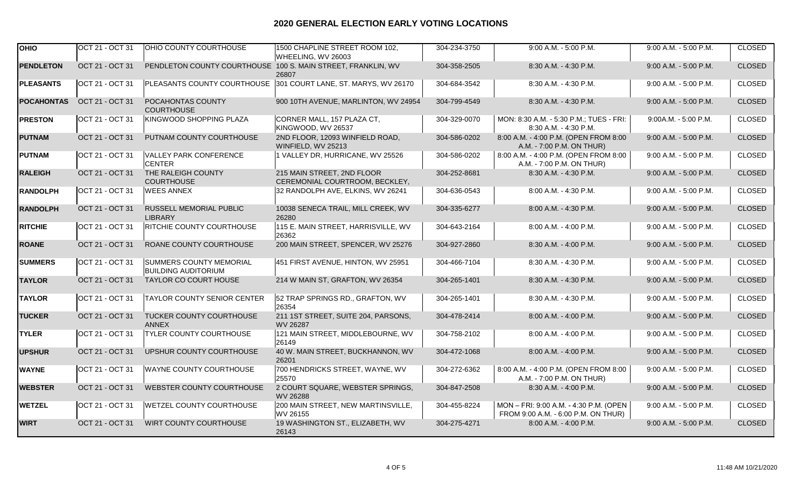| <b>OHIO</b>       | <b>OCT 21 - OCT 31</b> | <b>OHIO COUNTY COURTHOUSE</b>                                | 1500 CHAPLINE STREET ROOM 102,<br>WHEELING, WV 26003            | 304-234-3750 | 9:00 A.M. - 5:00 P.M.                                                         | 9:00 A.M. - 5:00 P.M.   | CLOSED        |
|-------------------|------------------------|--------------------------------------------------------------|-----------------------------------------------------------------|--------------|-------------------------------------------------------------------------------|-------------------------|---------------|
| <b>PENDLETON</b>  | OCT 21 - OCT 31        | PENDLETON COUNTY COURTHOUSE 100 S. MAIN STREET, FRANKLIN, WV | 26807                                                           | 304-358-2505 | 8:30 A.M. - 4:30 P.M.                                                         | 9:00 A.M. - 5:00 P.M.   | <b>CLOSED</b> |
| <b>PLEASANTS</b>  | OCT 21 - OCT 31        |                                                              | PLEASANTS COUNTY COURTHOUSE 301 COURT LANE, ST. MARYS, WV 26170 | 304-684-3542 | 8:30 A.M. - 4:30 P.M.                                                         | 9:00 A.M. - 5:00 P.M.   | <b>CLOSED</b> |
| <b>POCAHONTAS</b> | OCT 21 - OCT 31        | POCAHONTAS COUNTY<br><b>COURTHOUSE</b>                       | 900 10TH AVENUE, MARLINTON, WV 24954                            | 304-799-4549 | 8:30 A.M. - 4:30 P.M.                                                         | 9:00 A.M. - 5:00 P.M.   | <b>CLOSED</b> |
| <b>PRESTON</b>    | OCT 21 - OCT 31        | KINGWOOD SHOPPING PLAZA                                      | CORNER MALL, 157 PLAZA CT,<br>KINGWOOD, WV 26537                | 304-329-0070 | MON: 8:30 A.M. - 5:30 P.M.; TUES - FRI:<br>8:30 A.M. - 4:30 P.M.              | 9:00A.M. - 5:00 P.M.    | <b>CLOSED</b> |
| <b>PUTNAM</b>     | OCT 21 - OCT 31        | PUTNAM COUNTY COURTHOUSE                                     | 2ND FLOOR, 12093 WINFIELD ROAD,<br>WINFIELD, WV 25213           | 304-586-0202 | 8:00 A.M. - 4:00 P.M. (OPEN FROM 8:00<br>A.M. - 7:00 P.M. ON THUR)            | $9.00$ A.M. - 5:00 P.M. | <b>CLOSED</b> |
| <b>PUTNAM</b>     | OCT 21 - OCT 31        | <b>VALLEY PARK CONFERENCE</b><br><b>CENTER</b>               | 1 VALLEY DR, HURRICANE, WV 25526                                | 304-586-0202 | 8:00 A.M. - 4:00 P.M. (OPEN FROM 8:00<br>A.M. - 7:00 P.M. ON THUR)            | $9:00$ A.M. - 5:00 P.M. | <b>CLOSED</b> |
| <b>RALEIGH</b>    | OCT 21 - OCT 31        | THE RALEIGH COUNTY<br><b>COURTHOUSE</b>                      | 215 MAIN STREET, 2ND FLOOR<br>CEREMONIAL COURTROOM, BECKLEY,    | 304-252-8681 | 8:30 A.M. - 4:30 P.M.                                                         | 9:00 A.M. - 5:00 P.M.   | <b>CLOSED</b> |
| <b>RANDOLPH</b>   | OCT 21 - OCT 31        | <b>WEES ANNEX</b>                                            | 32 RANDOLPH AVE, ELKINS, WV 26241                               | 304-636-0543 | 8:00 A.M. - 4:30 P.M.                                                         | $9:00$ A.M. - 5:00 P.M. | <b>CLOSED</b> |
| <b>RANDOLPH</b>   | OCT 21 - OCT 31        | RUSSELL MEMORIAL PUBLIC<br><b>LIBRARY</b>                    | 10038 SENECA TRAIL, MILL CREEK, WV<br>26280                     | 304-335-6277 | 8:00 A.M. - 4:30 P.M.                                                         | 9:00 A.M. - 5:00 P.M.   | <b>CLOSED</b> |
| <b>RITCHIE</b>    | OCT 21 - OCT 31        | <b>RITCHIE COUNTY COURTHOUSE</b>                             | 115 E. MAIN STREET, HARRISVILLE, WV<br>26362                    | 304-643-2164 | 8:00 A.M. - 4:00 P.M.                                                         | 9:00 A.M. - 5:00 P.M.   | <b>CLOSED</b> |
| <b>ROANE</b>      | OCT 21 - OCT 31        | ROANE COUNTY COURTHOUSE                                      | 200 MAIN STREET, SPENCER, WV 25276                              | 304-927-2860 | 8:30 A.M. - 4:00 P.M.                                                         | 9:00 A.M. - 5:00 P.M.   | <b>CLOSED</b> |
| <b>SUMMERS</b>    | OCT 21 - OCT 31        | <b>SUMMERS COUNTY MEMORIAL</b><br><b>BUILDING AUDITORIUM</b> | 451 FIRST AVENUE, HINTON, WV 25951                              | 304-466-7104 | 8:30 A.M. - 4:30 P.M.                                                         | 9:00 A.M. - 5:00 P.M.   | <b>CLOSED</b> |
| <b>TAYLOR</b>     | OCT 21 - OCT 31        | TAYLOR CO COURT HOUSE                                        | 214 W MAIN ST, GRAFTON, WV 26354                                | 304-265-1401 | 8:30 A.M. - 4:30 P.M.                                                         | 9:00 A.M. - 5:00 P.M.   | <b>CLOSED</b> |
| <b>TAYLOR</b>     | OCT 21 - OCT 31        | <b>TAYLOR COUNTY SENIOR CENTER</b>                           | 52 TRAP SPRINGS RD., GRAFTON, WV<br>26354                       | 304-265-1401 | 8:30 A.M. - 4:30 P.M.                                                         | 9:00 A.M. - 5:00 P.M.   | <b>CLOSED</b> |
| <b>TUCKER</b>     | OCT 21 - OCT 31        | TUCKER COUNTY COURTHOUSE<br><b>ANNEX</b>                     | 211 1ST STREET, SUITE 204, PARSONS,<br>WV 26287                 | 304-478-2414 | 8:00 A.M. - 4:00 P.M.                                                         | 9:00 A.M. - 5:00 P.M.   | <b>CLOSED</b> |
| <b>TYLER</b>      | OCT 21 - OCT 31        | <b>TYLER COUNTY COURTHOUSE</b>                               | 121 MAIN STREET, MIDDLEBOURNE, WV<br>26149                      | 304-758-2102 | 8:00 A.M. - 4:00 P.M.                                                         | 9:00 A.M. - 5:00 P.M.   | <b>CLOSED</b> |
| <b>UPSHUR</b>     | OCT 21 - OCT 31        | UPSHUR COUNTY COURTHOUSE                                     | 40 W. MAIN STREET, BUCKHANNON, WV<br>26201                      | 304-472-1068 | 8:00 A.M. - 4:00 P.M.                                                         | 9:00 A.M. - 5:00 P.M.   | <b>CLOSED</b> |
| <b>WAYNE</b>      | OCT 21 - OCT 31        | <b>WAYNE COUNTY COURTHOUSE</b>                               | 700 HENDRICKS STREET, WAYNE, WV<br>25570                        | 304-272-6362 | 8:00 A.M. - 4:00 P.M. (OPEN FROM 8:00<br>A.M. - 7:00 P.M. ON THUR)            | 9:00 A.M. - 5:00 P.M.   | <b>CLOSED</b> |
| <b>WEBSTER</b>    | OCT 21 - OCT 31        | WEBSTER COUNTY COURTHOUSE                                    | 2 COURT SQUARE, WEBSTER SPRINGS,<br>WV 26288                    | 304-847-2508 | 8:30 A.M. - 4:00 P.M.                                                         | 9:00 A.M. - 5:00 P.M.   | <b>CLOSED</b> |
| <b>WETZEL</b>     | OCT 21 - OCT 31        | <b>WETZEL COUNTY COURTHOUSE</b>                              | 200 MAIN STREET, NEW MARTINSVILLE,<br>WV 26155                  | 304-455-8224 | MON - FRI: 9:00 A.M. - 4:30 P.M. (OPEN<br>FROM 9:00 A.M. - 6:00 P.M. ON THUR) | 9:00 A.M. - 5:00 P.M.   | <b>CLOSED</b> |
| <b>WIRT</b>       | OCT 21 - OCT 31        | WIRT COUNTY COURTHOUSE                                       | 19 WASHINGTON ST., ELIZABETH, WV<br>26143                       | 304-275-4271 | 8:00 A.M. - 4:00 P.M.                                                         | 9:00 A.M. - 5:00 P.M.   | <b>CLOSED</b> |